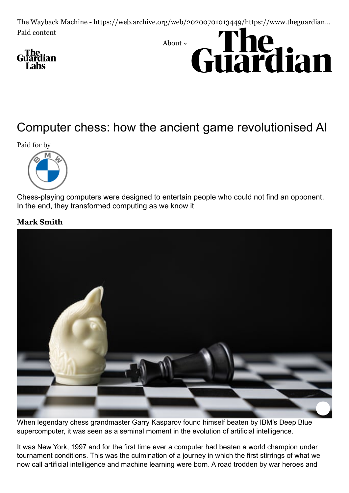The Wayback Machine - https://web.archive.org/web/20200701013449/https://www.theguardian… Paid content



About  $\sim$ 

Guardian

# Computer chess: how the ancient game revolutionised AI

Paid for by



Chess-playing computers were designed to entertain people who could not find an opponent. In the end, they transformed computing as we know it

## **[Mark Smith](https://web.archive.org/web/20200701013449/https://www.theguardian.com/profile/mark-a-smith)**



When legendary chess grandmaster Garry Kasparov found himself beaten by IBM's Deep Blue supercomputer, it was seen as a seminal moment in the evolution of artificial intelligence.

It was New York, 1997 and for the first time ever a computer had beaten a world champion under tournament conditions. This was the culmination of a journey in which the first stirrings of what we now call artificial intelligence and machine learning were born. A road trodden by war heroes and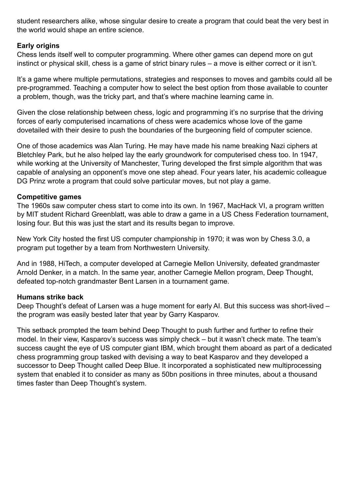student researchers alike, whose singular desire to create a program that could beat the very best in the world would shape an entire science.

## **Early origins**

Chess lends itself well to computer programming. Where other games can depend more on gut instinct or physical skill, chess is a game of strict binary rules – a move is either correct or it isn't.

It's a game where multiple permutations, strategies and responses to moves and gambits could all be pre-programmed. Teaching a computer how to select the best option from those available to counter a problem, though, was the tricky part, and that's where machine learning came in.

Given the close relationship between chess, logic and programming it's no surprise that the driving forces of early computerised incarnations of chess were academics whose love of the game dovetailed with their desire to push the boundaries of the burgeoning field of computer science.

One of those academics was Alan Turing. He may have made his name breaking Nazi ciphers at Bletchley Park, but he also helped lay the early groundwork for computerised chess too. In 1947, while working at the University of Manchester, Turing developed the first simple algorithm that was capable of analysing an opponent's move one step ahead. Four years later, his academic colleague DG Prinz wrote a program that could solve particular moves, but not play a game.

## **Competitive games**

The 1960s saw computer chess start to come into its own. In 1967, MacHack VI, a program written by MIT student Richard Greenblatt, was able to draw a game in a US Chess Federation tournament, losing four. But this was just the start and its results began to improve.

New York City hosted the first US computer championship in 1970; it was won by Chess 3.0, a program put together by a team from Northwestern University.

And in 1988, HiTech, a computer developed at Carnegie Mellon University, defeated grandmaster Arnold Denker, in a match. In the same year, another Carnegie Mellon program, Deep Thought, defeated top-notch grandmaster Bent Larsen in a tournament game.

#### **Humans strike back**

Deep Thought's defeat of Larsen was a huge moment for early AI. But this success was short-lived – the program was easily bested later that year by Garry Kasparov.

This setback prompted the team behind Deep Thought to push further and further to refine their model. In their view, Kasparov's success was simply check – but it wasn't check mate. The team's success caught the eye of US computer giant IBM, which brought them aboard as part of a dedicated chess programming group tasked with devising a way to beat Kasparov and they developed a successor to Deep Thought called Deep Blue. It incorporated a sophisticated new multiprocessing system that enabled it to consider as many as 50bn positions in three minutes, about a thousand times faster than Deep Thought's system.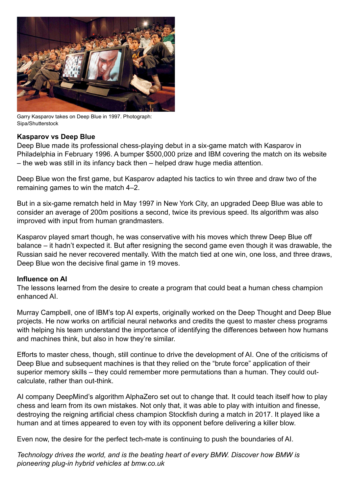

Garry Kasparov takes on Deep Blue in 1997. Photograph: Sipa/Shutterstock

## **Kasparov vs Deep Blue**

Deep Blue made its professional chess-playing debut in a six-game match with Kasparov in Philadelphia in February 1996. A bumper \$500,000 prize and IBM covering the match on its website – the web was still in its infancy back then – helped draw huge media attention.

Deep Blue won the first game, but Kasparov adapted his tactics to win three and draw two of the remaining games to win the match 4–2.

But in a six-game rematch held in May 1997 in New York City, an upgraded Deep Blue was able to consider an average of 200m positions a second, twice its previous speed. Its algorithm was also improved with input from human grandmasters.

Kasparov played smart though, he was conservative with his moves which threw Deep Blue off balance – it hadn't expected it. But after resigning the second game even though it was drawable, the Russian said he never recovered mentally. With the match tied at one win, one loss, and three draws, Deep Blue won the decisive final game in 19 moves.

#### **Influence on AI**

The lessons learned from the desire to create a program that could beat a human chess champion enhanced AI.

Murray Campbell, one of IBM's top AI experts, originally worked on the Deep Thought and Deep Blue projects. He now works on artificial neural networks and credits the quest to master chess programs with helping his team understand the importance of identifying the differences between how humans and machines think, but also in how they're similar.

Efforts to master chess, though, still continue to drive the development of AI. One of the criticisms of Deep Blue and subsequent machines is that they relied on the "brute force" application of their superior memory skills – they could remember more permutations than a human. They could outcalculate, rather than out-think.

AI company DeepMind's algorithm AlphaZero set out to change that. It could teach itself how to play chess and learn from its own mistakes. Not only that, it was able to play with intuition and finesse, destroying the reigning artificial chess champion Stockfish during a match in 2017. It played like a human and at times appeared to even toy with its opponent before delivering a killer blow.

Even now, the desire for the perfect tech-mate is continuing to push the boundaries of AI.

*Technology drives the world, and is the beating heart of every BMW. Discover how BMW is pioneering plug-in hybrid vehicles at [bmw.co.uk](https://web.archive.org/web/20200701013449/https://www.bmw.co.uk/en/topics/discover/electric-and-phev/plug-in-hybrids.html?tl=dis-guar-phev-brnd-miy-phra-1x1a-corebran-.-.-)*